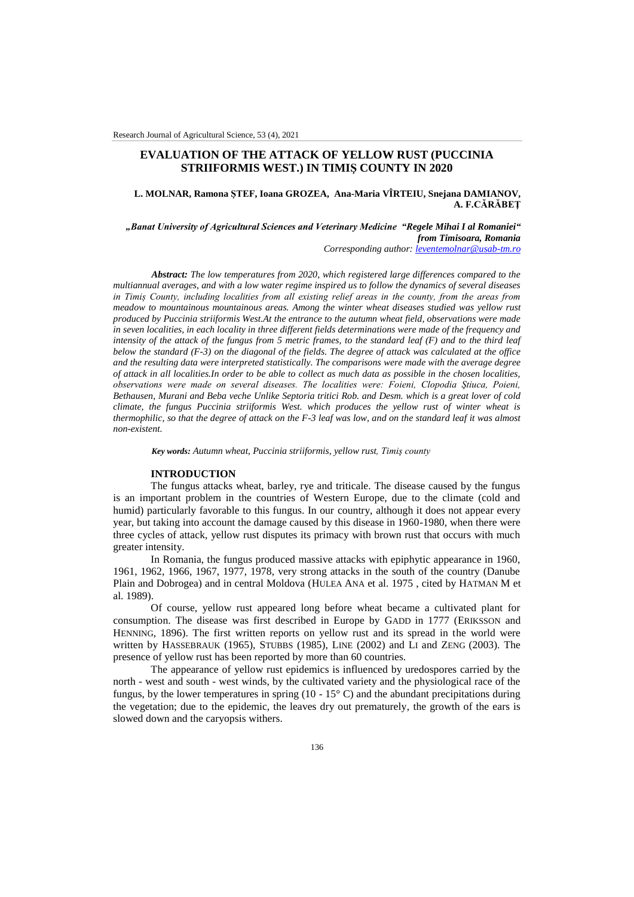# **EVALUATION OF THE ATTACK OF YELLOW RUST (PUCCINIA STRIIFORMIS WEST.) IN TIMIŞ COUNTY IN 2020**

# **L. MOLNAR, Ramona ŞTEF, Ioana GROZEA, Ana-Maria VÎRTEIU, Snejana DAMIANOV, A. F.CĂRĂBEŢ**

*"Banat University of Agricultural Sciences and Veterinary Medicine "Regele Mihai I al Romaniei" from Timisoara, Romania Corresponding author: [leventemolnar@usab-tm.ro](mailto:leventemolnar@usab-tm.ro)*

*Abstract: The low temperatures from 2020, which registered large differences compared to the multiannual averages, and with a low water regime inspired us to follow the dynamics of several diseases in Timiș County, including localities from all existing relief areas in the county, from the areas from meadow to mountainous mountainous areas. Among the winter wheat diseases studied was yellow rust produced by Puccinia striiformis West.At the entrance to the autumn wheat field, observations were made in seven localities, in each locality in three different fields determinations were made of the frequency and intensity of the attack of the fungus from 5 metric frames, to the standard leaf (F) and to the third leaf below the standard (F-3) on the diagonal of the fields. The degree of attack was calculated at the office and the resulting data were interpreted statistically. The comparisons were made with the average degree of attack in all localities.In order to be able to collect as much data as possible in the chosen localities, observations were made on several diseases. The localities were: Foieni, Clopodia Ştiuca, Poieni, Bethausen, Murani and Beba veche Unlike Septoria tritici Rob. and Desm. which is a great lover of cold climate, the fungus Puccinia striiformis West. which produces the yellow rust of winter wheat is thermophilic, so that the degree of attack on the F-3 leaf was low, and on the standard leaf it was almost non-existent.*

*Key words: Autumn wheat, Puccinia striiformis, yellow rust, Timiş county*

# **INTRODUCTION**

The fungus attacks wheat, barley, rye and triticale. The disease caused by the fungus is an important problem in the countries of Western Europe, due to the climate (cold and humid) particularly favorable to this fungus. In our country, although it does not appear every year, but taking into account the damage caused by this disease in 1960-1980, when there were three cycles of attack, yellow rust disputes its primacy with brown rust that occurs with much greater intensity.

In Romania, the fungus produced massive attacks with epiphytic appearance in 1960, 1961, 1962, 1966, 1967, 1977, 1978, very strong attacks in the south of the country (Danube Plain and Dobrogea) and in central Moldova (HULEA ANA et al. 1975 , cited by HATMAN M et al. 1989).

Of course, yellow rust appeared long before wheat became a cultivated plant for consumption. The disease was first described in Europe by GADD in 1777 (ERIKSSON and HENNING, 1896). The first written reports on yellow rust and its spread in the world were written by HASSEBRAUK (1965), STUBBS (1985), LINE (2002) and LI and ZENG (2003). The presence of yellow rust has been reported by more than 60 countries.

The appearance of yellow rust epidemics is influenced by uredospores carried by the north - west and south - west winds, by the cultivated variety and the physiological race of the fungus, by the lower temperatures in spring (10 - 15 $\degree$  C) and the abundant precipitations during the vegetation; due to the epidemic, the leaves dry out prematurely, the growth of the ears is slowed down and the caryopsis withers.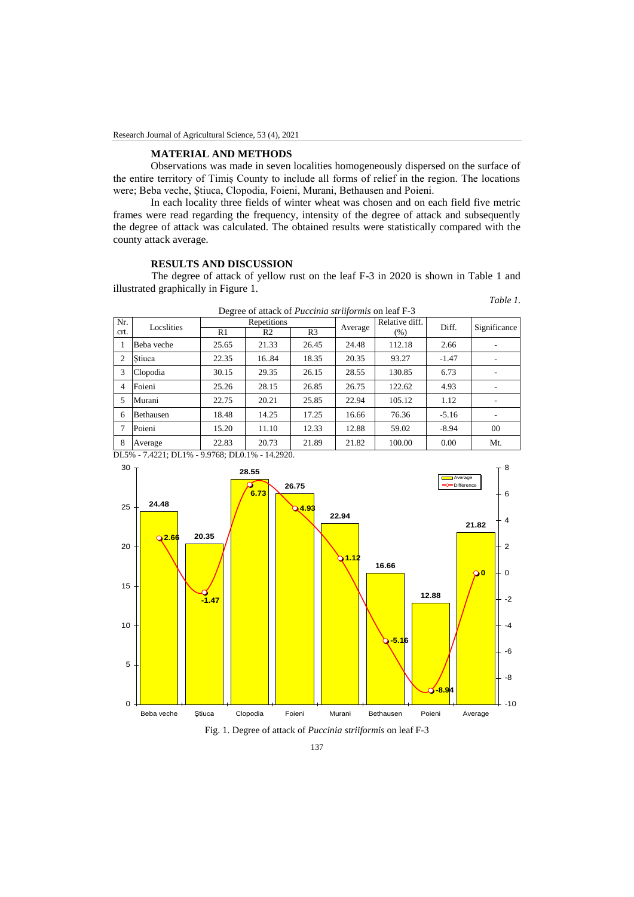# **MATERIAL AND METHODS**

Observations was made in seven localities homogeneously dispersed on the surface of the entire territory of Timiș County to include all forms of relief in the region. The locations were; Beba veche, Ştiuca, Clopodia, Foieni, Murani, Bethausen and Poieni.

In each locality three fields of winter wheat was chosen and on each field five metric frames were read regarding the frequency, intensity of the degree of attack and subsequently the degree of attack was calculated. The obtained results were statistically compared with the county attack average.

# **RESULTS AND DISCUSSION**

The degree of attack of yellow rust on the leaf F-3 in 2020 is shown in Table 1 and illustrated graphically in Figure 1. *Table 1.*

| Degree of attack of <i>Puccinia striiformis</i> on leaf F-3 |                  |             |                |                |         |                |         |              |
|-------------------------------------------------------------|------------------|-------------|----------------|----------------|---------|----------------|---------|--------------|
| Nr.                                                         | Locslities       | Repetitions |                |                | Average | Relative diff. | Diff.   | Significance |
| crt.                                                        |                  | R1          | R <sub>2</sub> | R <sub>3</sub> |         | (% )           |         |              |
|                                                             | Beba veche       | 25.65       | 21.33          | 26.45          | 24.48   | 112.18         | 2.66    |              |
| 2                                                           | Stiuca           | 22.35       | 1684           | 18.35          | 20.35   | 93.27          | $-1.47$ |              |
| 3                                                           | Clopodia         | 30.15       | 29.35          | 26.15          | 28.55   | 130.85         | 6.73    |              |
| 4                                                           | Foieni           | 25.26       | 28.15          | 26.85          | 26.75   | 122.62         | 4.93    |              |
| 5                                                           | Murani           | 22.75       | 20.21          | 25.85          | 22.94   | 105.12         | 1.12    | ۰            |
| 6                                                           | <b>Bethausen</b> | 18.48       | 14.25          | 17.25          | 16.66   | 76.36          | $-5.16$ |              |
|                                                             | Poieni           | 15.20       | 11.10          | 12.33          | 12.88   | 59.02          | $-8.94$ | $00\,$       |
| 8                                                           | Average          | 22.83       | 20.73          | 21.89          | 21.82   | 100.00         | 0.00    | Mt.          |

DL5% - 7.4221; DL1% - 9.9768; DL0.1% - 14.2920.



Fig. 1. Degree of attack of *Puccinia striiformis* on leaf F-3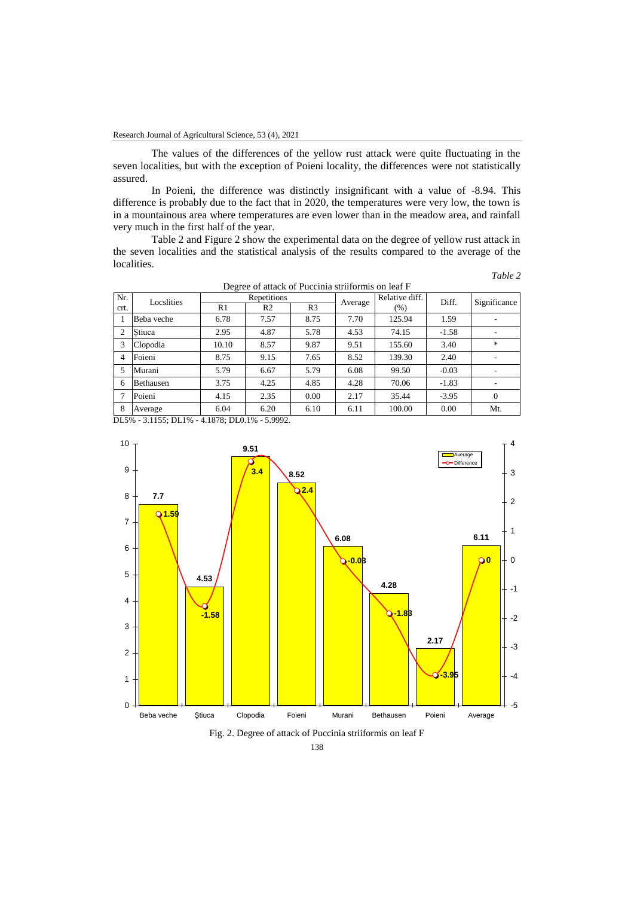The values of the differences of the yellow rust attack were quite fluctuating in the seven localities, but with the exception of Poieni locality, the differences were not statistically assured.

In Poieni, the difference was distinctly insignificant with a value of -8.94. This difference is probably due to the fact that in 2020, the temperatures were very low, the town is in a mountainous area where temperatures are even lower than in the meadow area, and rainfall very much in the first half of the year.

Table 2 and Figure 2 show the experimental data on the degree of yellow rust attack in the seven localities and the statistical analysis of the results compared to the average of the localities. *Table 2*

| apie |  |
|------|--|
|      |  |

| Degree of attack of Puccinia striiformis on leaf F |                  |             |                |                |         |                |         |              |
|----------------------------------------------------|------------------|-------------|----------------|----------------|---------|----------------|---------|--------------|
| Nr.                                                | Locslities       | Repetitions |                |                | Average | Relative diff. | Diff.   | Significance |
| crt.                                               |                  | R1          | R <sub>2</sub> | R <sub>3</sub> |         | $(\% )$        |         |              |
|                                                    | Beha veche       | 6.78        | 7.57           | 8.75           | 7.70    | 125.94         | 1.59    |              |
| 2                                                  | Stiuca           | 2.95        | 4.87           | 5.78           | 4.53    | 74.15          | $-1.58$ |              |
| 3                                                  | Clopodia         | 10.10       | 8.57           | 9.87           | 9.51    | 155.60         | 3.40    | $\ast$       |
| 4                                                  | Foieni           | 8.75        | 9.15           | 7.65           | 8.52    | 139.30         | 2.40    |              |
| 5                                                  | Murani           | 5.79        | 6.67           | 5.79           | 6.08    | 99.50          | $-0.03$ |              |
| 6                                                  | <b>Bethausen</b> | 3.75        | 4.25           | 4.85           | 4.28    | 70.06          | $-1.83$ |              |
|                                                    | Poieni           | 4.15        | 2.35           | 0.00           | 2.17    | 35.44          | $-3.95$ | $\Omega$     |
| 8                                                  | Average          | 6.04        | 6.20           | 6.10           | 6.11    | 100.00         | 0.00    | Mt.          |

DL5% - 3.1155; DL1% - 4.1878; DL0.1% - 5.9992.



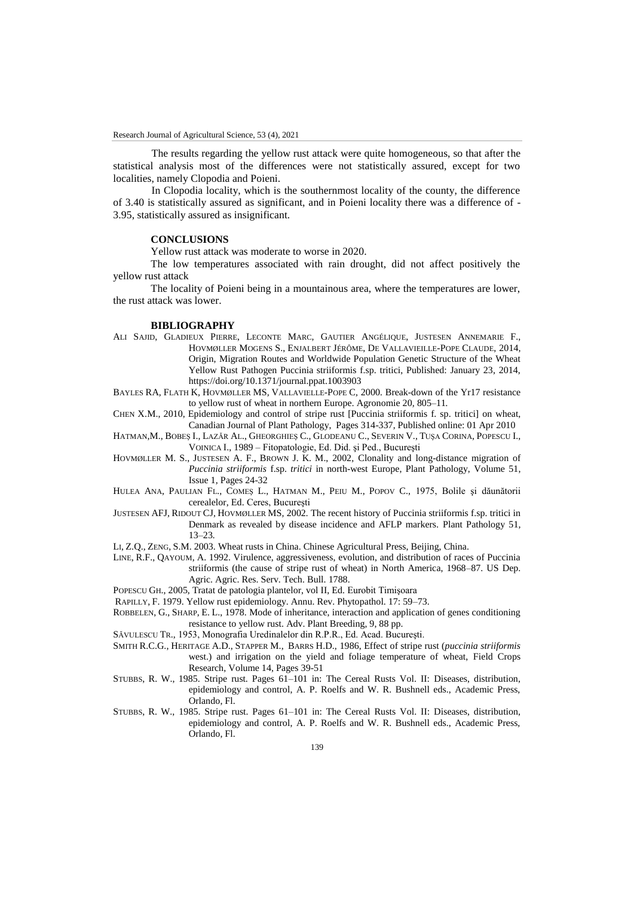The results regarding the yellow rust attack were quite homogeneous, so that after the statistical analysis most of the differences were not statistically assured, except for two localities, namely Clopodia and Poieni.

In Clopodia locality, which is the southernmost locality of the county, the difference of 3.40 is statistically assured as significant, and in Poieni locality there was a difference of - 3.95, statistically assured as insignificant.

# **CONCLUSIONS**

Yellow rust attack was moderate to worse in 2020.

The low temperatures associated with rain drought, did not affect positively the yellow rust attack

The locality of Poieni being in a mountainous area, where the temperatures are lower, the rust attack was lower.

#### **BIBLIOGRAPHY**

- ALI SAJID, GLADIEUX PIERRE, LECONTE MARC, GAUTIER ANGÉLIQUE, JUSTESEN ANNEMARIE F., HOVMØLLER MOGENS S., ENJALBERT JÉRÔME, DE VALLAVIEILLE-POPE CLAUDE, 2014, Origin, Migration Routes and Worldwide Population Genetic Structure of the Wheat Yellow Rust Pathogen Puccinia striiformis f.sp. tritici, Published: January 23, 2014, https://doi.org/10.1371/journal.ppat.1003903
- BAYLES RA*,* FLATH K*,* HOVMØLLER MS*,* VALLAVIELLE-POPE C*,* 2000*.* Break-down of the Yr17 resistance to yellow rust of wheat in northern Europe*.* Agronomie 20*,* 805*–*11*.*
- CHEN X.M., 2010, Epidemiology and control of stripe rust [Puccinia striiformis f. sp. tritici] on wheat, Canadian Journal of Plant Pathology, Pages 314-337, Published online: 01 Apr 2010
- HATMAN,M., BOBEŞ I., LAZĂR AL., GHEORGHIEŞ C., GLODEANU C., SEVERIN V., TUŞA CORINA, POPESCU I., VOINICA I., 1989 – Fitopatologie, Ed. Did. şi Ped., Bucureşti
- HOVMØLLER M. S., JUSTESEN A. F., BROWN J. K. M., 2002, Clonality and long-distance migration of *Puccinia striiformis* f.sp. *tritici* in north-west Europe, Plant Pathology, Volume 51, Issue 1, Pages 24-32
- HULEA ANA, PAULIAN FL., COMEŞ L., HATMAN M., PEIU M., POPOV C., 1975, Bolile şi dăunătorii cerealelor, Ed. Ceres, Bucureşti
- JUSTESEN AFJ*,* RIDOUT CJ*,* HOVMØLLER MS*,* 2002*.* The recent history of Puccinia striiformis f.sp. tritici in Denmark as revealed by disease incidence and AFLP markers*.* Plant Pathology 51*,*  13*–*23*.*
- LI, Z.Q., ZENG, S.M. 2003. Wheat rusts in China. Chinese Agricultural Press, Beijing, China.
- LINE, R.F., QAYOUM, A. 1992. Virulence, aggressiveness, evolution, and distribution of races of Puccinia striiformis (the cause of stripe rust of wheat) in North America, 1968–87. US Dep. Agric. Agric. Res. Serv. Tech. Bull. 1788.
- POPESCU GH., 2005, Tratat de patologia plantelor, vol II, Ed. Eurobit Timişoara
- RAPILLY, F. 1979. Yellow rust epidemiology. Annu. Rev. Phytopathol. 17: 59–73.
- ROBBELEN, G., SHARP, E. L., 1978. Mode of inheritance, interaction and application of genes conditioning resistance to yellow rust. Adv. Plant Breeding, 9, 88 pp.
- SĂVULESCU TR., 1953, Monografia Uredinalelor din R.P.R., Ed. Acad. Bucureşti.
- SMITH R.C.G., HERITAGE A.D., STAPPER [M.,](https://www.sciencedirect.com/science/article/pii/0378429086900456#!) BARRS [H.D.,](https://www.sciencedirect.com/science/article/pii/0378429086900456#!) 1986, Effect of stripe rust (*puccinia striiformis* west.) and irrigation on the yield and foliage temperature of wheat, Field Crops Research, Volume 14, Pages 39-51
- STUBBS, R. W., 1985. Stripe rust. Pages 61–101 in: The Cereal Rusts Vol. II: Diseases, distribution, epidemiology and control, A. P. Roelfs and W. R. Bushnell eds., Academic Press, Orlando, Fl.
- STUBBS, R. W., 1985. Stripe rust. Pages 61–101 in: The Cereal Rusts Vol. II: Diseases, distribution, epidemiology and control, A. P. Roelfs and W. R. Bushnell eds., Academic Press, Orlando, Fl.